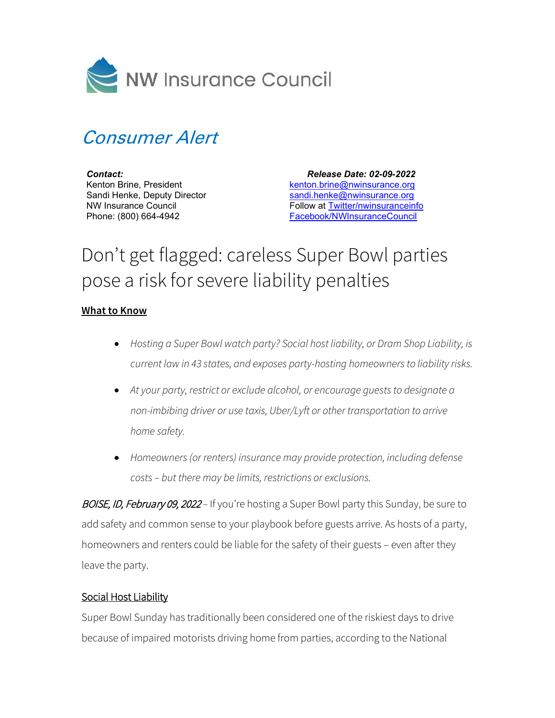

## Consumer Alert

*Contact:* Kenton Brine, President Sandi Henke, Deputy Director NW Insurance Council Phone: (800) 664-4942

 *Release Date: 02-09-2022* [kenton.brine@nwinsurance.org](mailto:kenton.brine@nwinsurance.org) [sandi.henke@nwinsurance.org](mailto:sandi.henke@nwinsurance.org) Follow at [Twitter/nwinsuranceinfo](http://twitter.com/#!/nwinsuranceinfo) [Facebook/NWInsuranceCouncil](https://www.facebook.com/NWInsuranceCouncil)

## Don't get flagged: careless Super Bowl parties pose a risk for severe liability penalties

## **What to Know**

- *Hosting a Super Bowl watch party? Social host liability, or Dram Shop Liability, is current law in 43 states, and exposes party-hosting homeowners to liability risks.*
- *At your party, restrict or exclude alcohol, or encourage guests to designate a non-imbibing driver or use taxis, Uber/Lyft or other transportation to arrive home safety.*
- *Homeowners (or renters) insurance may provide protection, including defense costs – but there may be limits, restrictions or exclusions.*

BOISE, ID, February 09, 2022 – If you're hosting a Super Bowl party this Sunday, be sure to add safety and common sense to your playbook before guests arrive. As hosts of a party, homeowners and renters could be liable for the safety of their guests – even after they leave the party.

## Social Host Liability

Super Bowl Sunday has traditionally been considered one of the riskiest days to drive because of impaired motorists driving home from parties, according to the National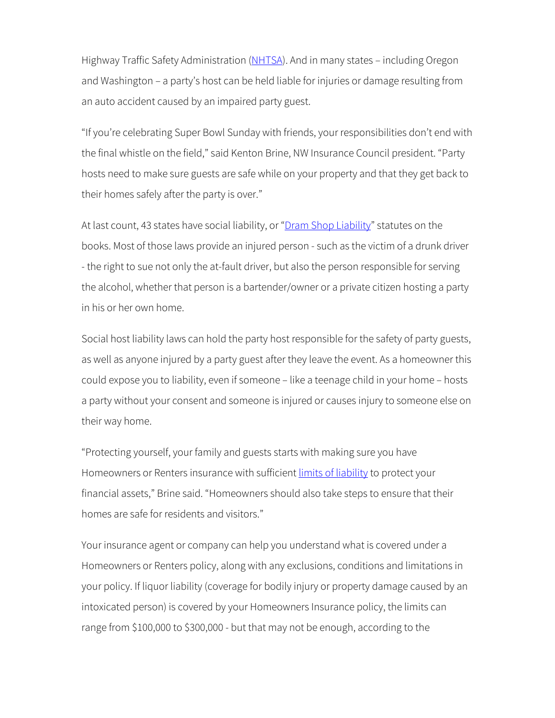Highway Traffic Safety Administration [\(NHTSA\)](https://www.nhtsa.gov/super-bowl-sunday-fans-dont-let-fans-drive-drunk). And in many states - including Oregon and Washington – a party's host can be held liable for injuries or damage resulting from an auto accident caused by an impaired party guest.

"If you're celebrating Super Bowl Sunday with friends, your responsibilities don't end with the final whistle on the field," said Kenton Brine, NW Insurance Council president. "Party hosts need to make sure guests are safe while on your property and that they get back to their homes safely after the party is over."

At last count, 43 states have social liability, or ["Dram Shop Liability"](http://www.iii.org/article/social-host-liability) statutes on the books. Most of those laws provide an injured person - such as the victim of a drunk driver - the right to sue not only the at-fault driver, but also the person responsible for serving the alcohol, whether that person is a bartender/owner or a private citizen hosting a party in his or her own home.

Social host liability laws can hold the party host responsible for the safety of party guests, as well as anyone injured by a party guest after they leave the event. As a homeowner this could expose you to liability, even if someone – like a teenage child in your home – hosts a party without your consent and someone is injured or causes injury to someone else on their way home.

"Protecting yourself, your family and guests starts with making sure you have Homeowners or Renters insurance with sufficient *limits of liability* to protect your financial assets," Brine said. "Homeowners should also take steps to ensure that their homes are safe for residents and visitors."

Your insurance agent or company can help you understand what is covered under a Homeowners or Renters policy, along with any exclusions, conditions and limitations in your policy. If liquor liability (coverage for bodily injury or property damage caused by an intoxicated person) is covered by your Homeowners Insurance policy, the limits can range from \$100,000 to \$300,000 - but that may not be enough, according to the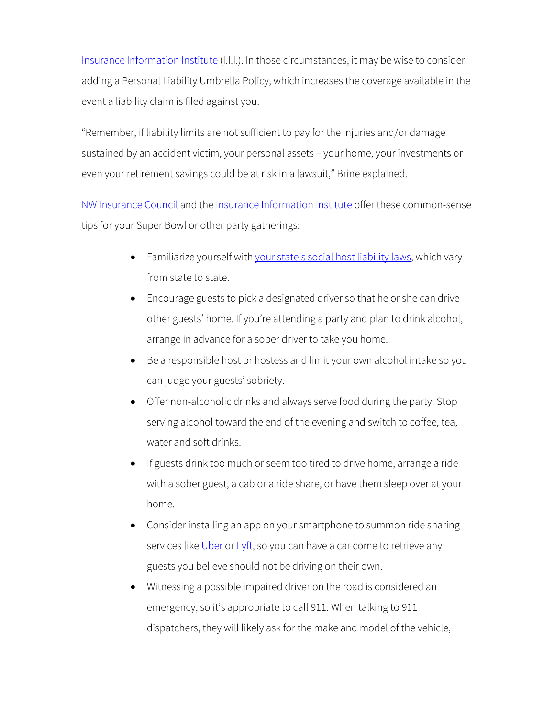[Insurance Information Institute](http://www.iii.org/article/social-host-liability) (I.I.I.). In those circumstances, it may be wise to consider adding a Personal Liability Umbrella Policy, which increases the coverage available in the event a liability claim is filed against you.

"Remember, if liability limits are not sufficient to pay for the injuries and/or damage sustained by an accident victim, your personal assets – your home, your investments or even your retirement savings could be at risk in a lawsuit," Brine explained.

[NW Insurance Council](http://www.nwinsurance.org/) and the [Insurance Information Institute](http://www.iii.org/article/social-host-liability) offer these common-sense tips for your Super Bowl or other party gatherings:

- Familiarize yourself wit[h your state's social host liability laws,](http://www.iii.org/issue-update/drunk-driving) which vary from state to state.
- Encourage guests to pick a designated driver so that he or she can drive other guests' home. If you're attending a party and plan to drink alcohol, arrange in advance for a sober driver to take you home.
- Be a responsible host or hostess and limit your own alcohol intake so you can judge your guests' sobriety.
- Offer non-alcoholic drinks and always serve food during the party. Stop serving alcohol toward the end of the evening and switch to coffee, tea, water and soft drinks.
- If guests drink too much or seem too tired to drive home, arrange a ride with a sober guest, a cab or a ride share, or have them sleep over at your home.
- Consider installing an app on your smartphone to summon ride sharing services like [Uber](https://www.uber.com/) or [Lyft,](https://www.lyft.com/app) so you can have a car come to retrieve any guests you believe should not be driving on their own.
- Witnessing a possible impaired driver on the road is considered an emergency, so it's appropriate to call 911. When talking to 911 dispatchers, they will likely ask for the make and model of the vehicle,